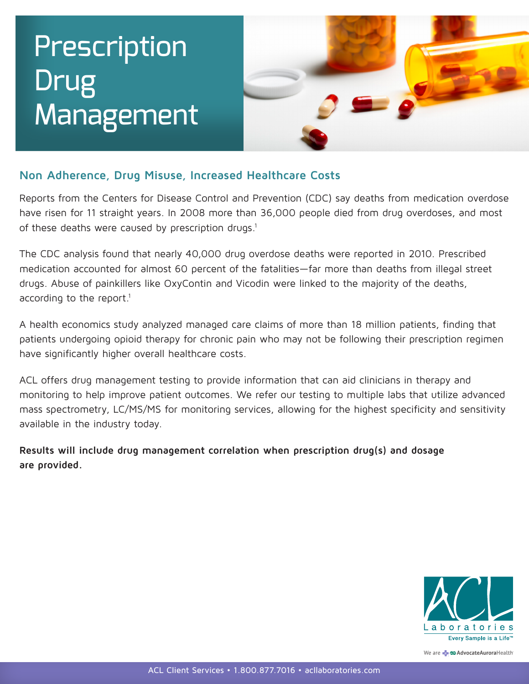## Prescription Drug Management



## **Non Adherence, Drug Misuse, Increased Healthcare Costs**

rest reflectives, 21 og i hoose, mereosee freettitore esste<br>Reports from the Centers for Disease Control and Prevention (CDC) say deaths from medication overdose have risen for 11 straight years. In 2008 more than 36,000 people died from drug overdoses, and most of these deaths were caused by prescription drugs.<sup>1</sup>  $\rm d$ rugs, $\rm d$ 

The CDC analysis found that nearly 40,000 drug overdose deaths were reported in 2010. Prescribed medication accounted for almost 60 percent of the fatalities—far more than deaths from illegal street drugs. Abuse of painkillers like OxyContin and Vicodin were linked to the majority of the deaths, according to the report.<sup>1</sup>

A health economics study analyzed managed care claims of more than 18 million patients, finding that patients undergoing opioid therapy for chronic pain who may not be following their prescription regimen have significantly higher overall healthcare costs. Prescribed medication accounted for a content of the fact of the fact of the fact of the fatalities—factor of the fact of the fact of the fact of the fact of the fact of the fact of the fact of the fact of the fact of the from illegal street drugs. Abuse of paintin and Vicodin and Vicodin were like OxyContin and Vicodin were linked to the to the continuous street of painting of painting to the continuous street of the continuous street of t

ACL offers drug management testing to provide information that can aid clinicians in therapy and monitoring to help improve patient outcomes. We refer our testing to multiple labs that utilize advanced mass spectrometry, LC/MS/MS for monitoring services, allowing for the highest specificity and sensitivity available in the industry today. majority of the deaths, according to the report.1

Results will include drug management correlation when prescription drug(s) and dosage **are provided.** 



We are **- CDAdvocateAuroraHealth**